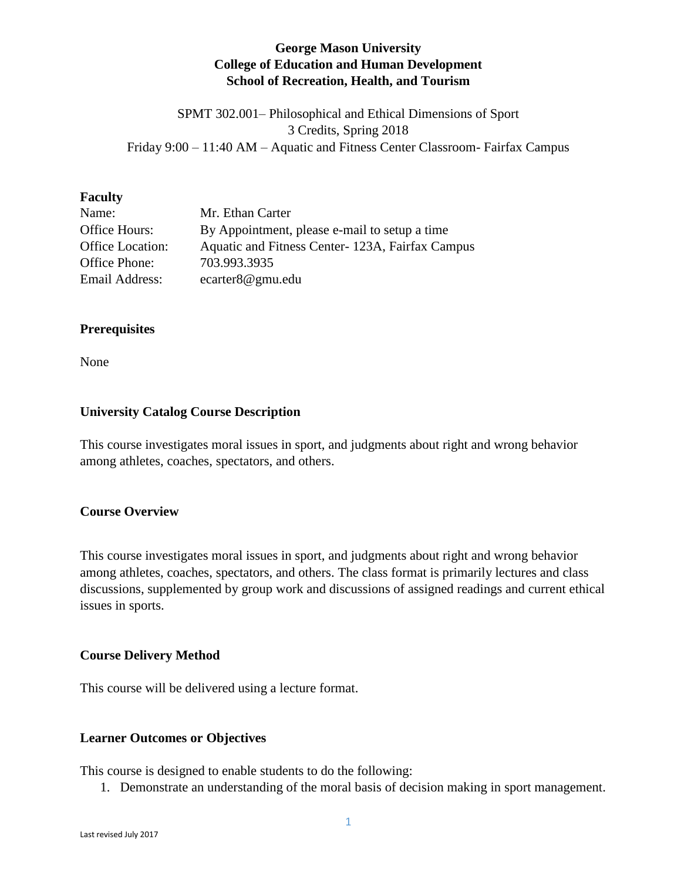## **George Mason University College of Education and Human Development School of Recreation, Health, and Tourism**

SPMT 302.001– Philosophical and Ethical Dimensions of Sport 3 Credits, Spring 2018 Friday 9:00 – 11:40 AM – Aquatic and Fitness Center Classroom- Fairfax Campus

#### **Faculty**

| Name:            | Mr. Ethan Carter                                |
|------------------|-------------------------------------------------|
| Office Hours:    | By Appointment, please e-mail to setup a time   |
| Office Location: | Aquatic and Fitness Center-123A, Fairfax Campus |
| Office Phone:    | 703.993.3935                                    |
| Email Address:   | ecarter8@gmu.edu                                |

### **Prerequisites**

None

#### **University Catalog Course Description**

This course investigates moral issues in sport, and judgments about right and wrong behavior among athletes, coaches, spectators, and others.

### **Course Overview**

This course investigates moral issues in sport, and judgments about right and wrong behavior among athletes, coaches, spectators, and others. The class format is primarily lectures and class discussions, supplemented by group work and discussions of assigned readings and current ethical issues in sports.

#### **Course Delivery Method**

This course will be delivered using a lecture format.

#### **Learner Outcomes or Objectives**

This course is designed to enable students to do the following:

1. Demonstrate an understanding of the moral basis of decision making in sport management.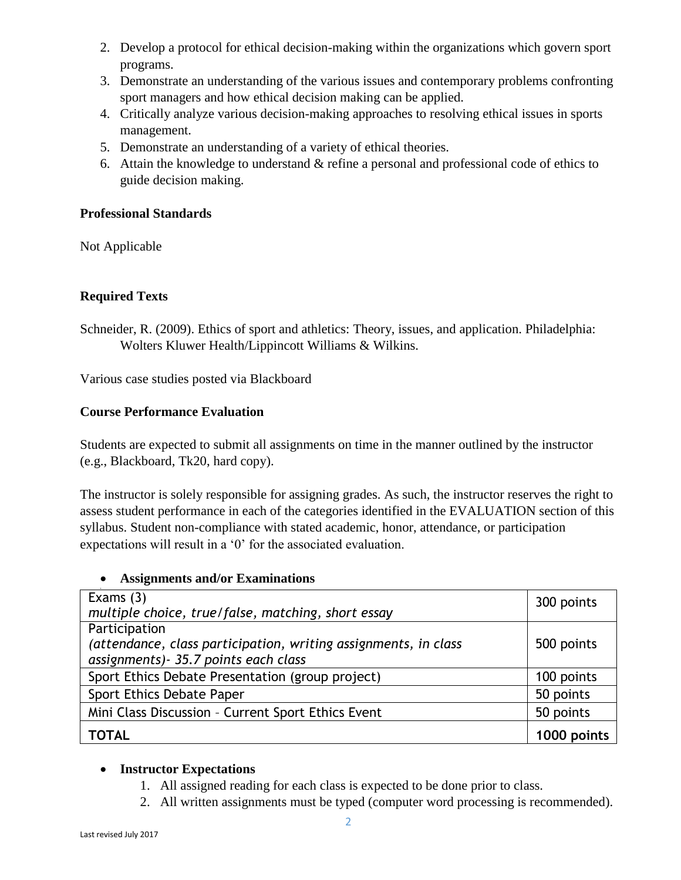- 2. Develop a protocol for ethical decision-making within the organizations which govern sport programs.
- 3. Demonstrate an understanding of the various issues and contemporary problems confronting sport managers and how ethical decision making can be applied.
- 4. Critically analyze various decision-making approaches to resolving ethical issues in sports management.
- 5. Demonstrate an understanding of a variety of ethical theories.
- 6. Attain the knowledge to understand & refine a personal and professional code of ethics to guide decision making.

## **Professional Standards**

Not Applicable

# **Required Texts**

Schneider, R. (2009). Ethics of sport and athletics: Theory, issues, and application. Philadelphia: Wolters Kluwer Health/Lippincott Williams & Wilkins.

Various case studies posted via Blackboard

## **Course Performance Evaluation**

Students are expected to submit all assignments on time in the manner outlined by the instructor (e.g., Blackboard, Tk20, hard copy).

The instructor is solely responsible for assigning grades. As such, the instructor reserves the right to assess student performance in each of the categories identified in the EVALUATION section of this syllabus. Student non-compliance with stated academic, honor, attendance, or participation expectations will result in a '0' for the associated evaluation.

## **Assignments and/or Examinations**

| Exams $(3)$                                                     | 300 points  |
|-----------------------------------------------------------------|-------------|
| multiple choice, true/false, matching, short essay              |             |
| Participation                                                   |             |
| (attendance, class participation, writing assignments, in class | 500 points  |
| assignments) - 35.7 points each class                           |             |
| Sport Ethics Debate Presentation (group project)                | 100 points  |
| Sport Ethics Debate Paper                                       | 50 points   |
| Mini Class Discussion - Current Sport Ethics Event              | 50 points   |
| <b>TOTAL</b>                                                    | 1000 points |

## **Instructor Expectations**

- 1. All assigned reading for each class is expected to be done prior to class.
- 2. All written assignments must be typed (computer word processing is recommended).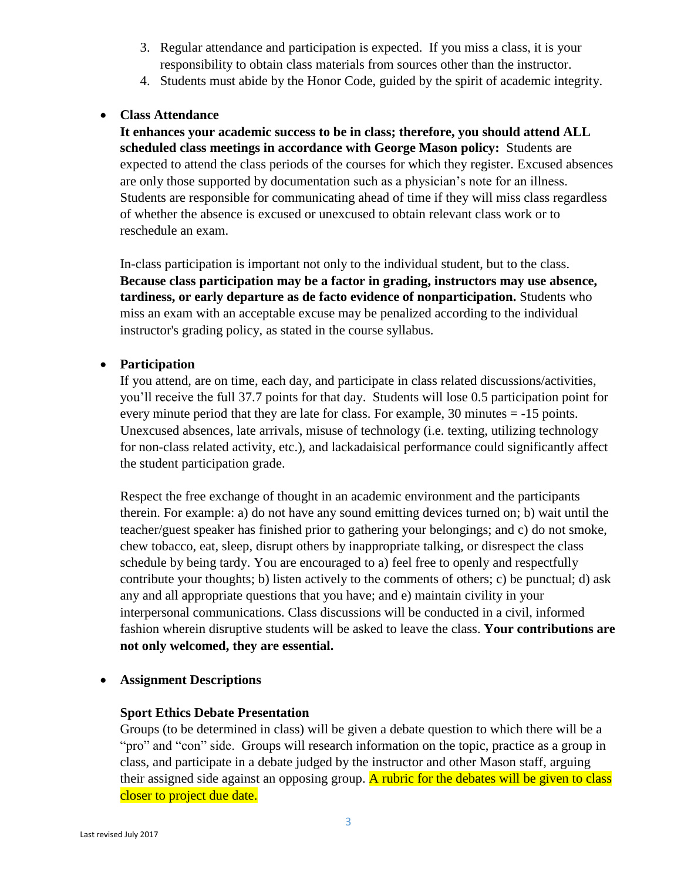- 3. Regular attendance and participation is expected. If you miss a class, it is your responsibility to obtain class materials from sources other than the instructor.
- 4. Students must abide by the Honor Code, guided by the spirit of academic integrity.

### **Class Attendance**

**It enhances your academic success to be in class; therefore, you should attend ALL scheduled class meetings in accordance with George Mason policy:** Students are expected to attend the class periods of the courses for which they register. Excused absences are only those supported by documentation such as a physician's note for an illness. Students are responsible for communicating ahead of time if they will miss class regardless of whether the absence is excused or unexcused to obtain relevant class work or to reschedule an exam.

In-class participation is important not only to the individual student, but to the class. **Because class participation may be a factor in grading, instructors may use absence, tardiness, or early departure as de facto evidence of nonparticipation.** Students who miss an exam with an acceptable excuse may be penalized according to the individual instructor's grading policy, as stated in the course syllabus.

### **Participation**

If you attend, are on time, each day, and participate in class related discussions/activities, you'll receive the full 37.7 points for that day. Students will lose 0.5 participation point for every minute period that they are late for class. For example, 30 minutes = -15 points. Unexcused absences, late arrivals, misuse of technology (i.e. texting, utilizing technology for non-class related activity, etc.), and lackadaisical performance could significantly affect the student participation grade.

Respect the free exchange of thought in an academic environment and the participants therein. For example: a) do not have any sound emitting devices turned on; b) wait until the teacher/guest speaker has finished prior to gathering your belongings; and c) do not smoke, chew tobacco, eat, sleep, disrupt others by inappropriate talking, or disrespect the class schedule by being tardy. You are encouraged to a) feel free to openly and respectfully contribute your thoughts; b) listen actively to the comments of others; c) be punctual; d) ask any and all appropriate questions that you have; and e) maintain civility in your interpersonal communications. Class discussions will be conducted in a civil, informed fashion wherein disruptive students will be asked to leave the class. **Your contributions are not only welcomed, they are essential.**

### **Assignment Descriptions**

### **Sport Ethics Debate Presentation**

Groups (to be determined in class) will be given a debate question to which there will be a "pro" and "con" side. Groups will research information on the topic, practice as a group in class, and participate in a debate judged by the instructor and other Mason staff, arguing their assigned side against an opposing group. A rubric for the debates will be given to class closer to project due date.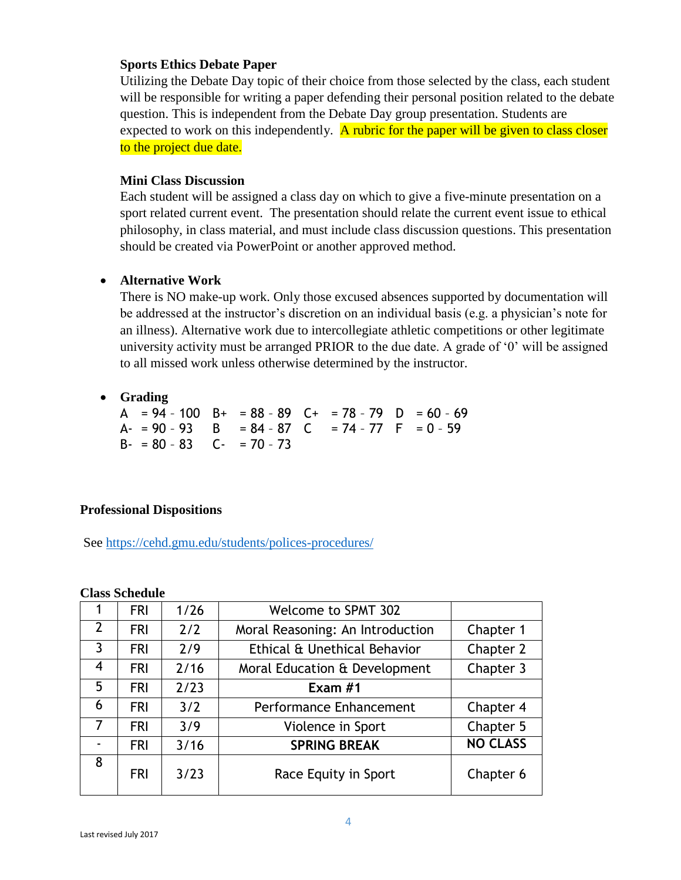#### **Sports Ethics Debate Paper**

Utilizing the Debate Day topic of their choice from those selected by the class, each student will be responsible for writing a paper defending their personal position related to the debate question. This is independent from the Debate Day group presentation. Students are expected to work on this independently. A rubric for the paper will be given to class closer to the project due date.

#### **Mini Class Discussion**

Each student will be assigned a class day on which to give a five-minute presentation on a sport related current event. The presentation should relate the current event issue to ethical philosophy, in class material, and must include class discussion questions. This presentation should be created via PowerPoint or another approved method.

### **Alternative Work**

There is NO make-up work. Only those excused absences supported by documentation will be addressed at the instructor's discretion on an individual basis (e.g. a physician's note for an illness). Alternative work due to intercollegiate athletic competitions or other legitimate university activity must be arranged PRIOR to the due date. A grade of '0' will be assigned to all missed work unless otherwise determined by the instructor.

### **Grading**

A =  $94 - 100$  B+ =  $88 - 89$  C+ =  $78 - 79$  D =  $60 - 69$ A- = 90 - 93 B = 84 - 87 C = 74 - 77 F = 0 - 59  $B - = 80 - 83$   $C - = 70 - 73$ 

### **Professional Dispositions**

See<https://cehd.gmu.edu/students/polices-procedures/>

|                | <b>FRI</b> | 1/26 | <b>Welcome to SPMT 302</b>       |                 |
|----------------|------------|------|----------------------------------|-----------------|
| $\overline{2}$ | <b>FRI</b> | 2/2  | Moral Reasoning: An Introduction | Chapter 1       |
| $\overline{3}$ | <b>FRI</b> | 2/9  | Ethical & Unethical Behavior     | Chapter 2       |
| 4              | <b>FRI</b> | 2/16 | Moral Education & Development    | Chapter 3       |
| 5              | <b>FRI</b> | 2/23 | Exam $#1$                        |                 |
| 6              | <b>FRI</b> | 3/2  | Performance Enhancement          | Chapter 4       |
| 7              | <b>FRI</b> | 3/9  | Violence in Sport                | Chapter 5       |
|                | <b>FRI</b> | 3/16 | <b>SPRING BREAK</b>              | <b>NO CLASS</b> |
| 8              | <b>FRI</b> | 3/23 | Race Equity in Sport             | Chapter 6       |

### **Class Schedule**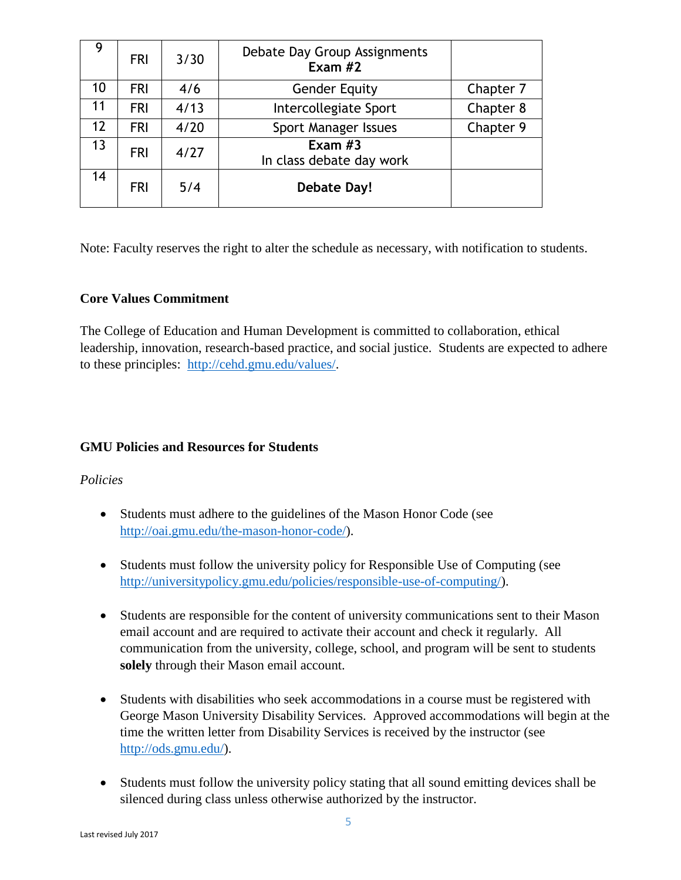|    | <b>FRI</b> | 3/30 | Debate Day Group Assignments<br>Exam $#2$ |           |
|----|------------|------|-------------------------------------------|-----------|
| 10 | <b>FRI</b> | 4/6  | <b>Gender Equity</b>                      | Chapter 7 |
| 11 | <b>FRI</b> | 4/13 | Intercollegiate Sport                     | Chapter 8 |
| 12 | <b>FRI</b> | 4/20 | Sport Manager Issues                      | Chapter 9 |
| 13 | <b>FRI</b> | 4/27 | Exam $#3$<br>In class debate day work     |           |
| 14 | <b>FRI</b> | 5/4  | Debate Day!                               |           |

Note: Faculty reserves the right to alter the schedule as necessary, with notification to students.

## **Core Values Commitment**

The College of Education and Human Development is committed to collaboration, ethical leadership, innovation, research-based practice, and social justice. Students are expected to adhere to these principles: [http://cehd.gmu.edu/values/.](http://cehd.gmu.edu/values/)

## **GMU Policies and Resources for Students**

### *Policies*

- Students must adhere to the guidelines of the Mason Honor Code (see [http://oai.gmu.edu/the-mason-honor-code/\)](http://oai.gmu.edu/the-mason-honor-code/).
- Students must follow the university policy for Responsible Use of Computing (see [http://universitypolicy.gmu.edu/policies/responsible-use-of-computing/\)](http://universitypolicy.gmu.edu/policies/responsible-use-of-computing/).
- Students are responsible for the content of university communications sent to their Mason email account and are required to activate their account and check it regularly. All communication from the university, college, school, and program will be sent to students **solely** through their Mason email account.
- Students with disabilities who seek accommodations in a course must be registered with George Mason University Disability Services. Approved accommodations will begin at the time the written letter from Disability Services is received by the instructor (see [http://ods.gmu.edu/\)](http://ods.gmu.edu/).
- Students must follow the university policy stating that all sound emitting devices shall be silenced during class unless otherwise authorized by the instructor.